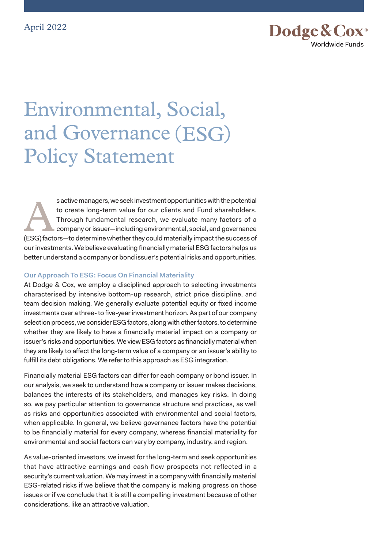

# Environmental, Social, and Governance (ESG) Policy Statement

s active managers, we seek investment opportunities with the potential<br>to create long-term value for our clients and Fund shareholders.<br>Through fundamental research, we evaluate many factors of a<br>company or issuer—includin to create long-term value for our clients and Fund shareholders. Through fundamental research, we evaluate many factors of a company or issuer—including environmental, social, and governance (ESG) factors—to determine whether they could materially impact the success of our investments. We believe evaluating financially material ESG factors helps us better understand a company or bond issuer's potential risks and opportunities.

## **Our Approach To ESG: Focus On Financial Materiality**

At Dodge & Cox, we employ a disciplined approach to selecting investments characterised by intensive bottom-up research, strict price discipline, and team decision making. We generally evaluate potential equity or fixed income investments over a three- to five-year investment horizon. As part of our company selection process, we consider ESG factors, along with other factors, to determine whether they are likely to have a financially material impact on a company or issuer's risks and opportunities. We view ESG factors as financially material when they are likely to affect the long-term value of a company or an issuer's ability to fulfill its debt obligations. We refer to this approach as ESG integration.

Financially material ESG factors can differ for each company or bond issuer. In our analysis, we seek to understand how a company or issuer makes decisions, balances the interests of its stakeholders, and manages key risks. In doing so, we pay particular attention to governance structure and practices, as well as risks and opportunities associated with environmental and social factors, when applicable. In general, we believe governance factors have the potential to be financially material for every company, whereas financial materiality for environmental and social factors can vary by company, industry, and region.

As value-oriented investors, we invest for the long-term and seek opportunities that have attractive earnings and cash flow prospects not reflected in a security's current valuation. We may invest in a company with financially material ESG-related risks if we believe that the company is making progress on those issues or if we conclude that it is still a compelling investment because of other considerations, like an attractive valuation.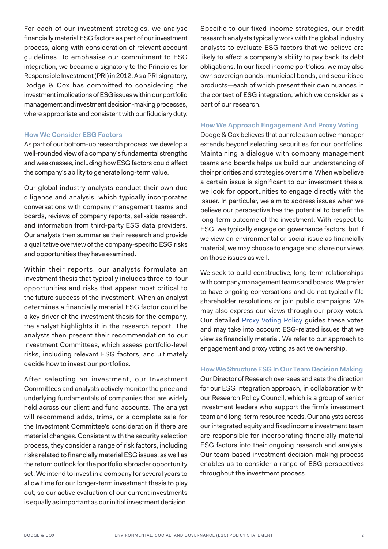For each of our investment strategies, we analyse financially material ESG factors as part of our investment process, along with consideration of relevant account guidelines. To emphasise our commitment to ESG integration, we became a signatory to the Principles for Responsible Investment (PRI) in 2012. As a PRI signatory, Dodge & Cox has committed to considering the investment implications of ESG issues within our portfolio management and investment decision-making processes, where appropriate and consistent with our fiduciary duty.

### **How We Consider ESG Factors**

As part of our bottom-up research process, we develop a well-rounded view of a company's fundamental strengths and weaknesses, including how ESG factors could affect the company's ability to generate long-term value.

Our global industry analysts conduct their own due diligence and analysis, which typically incorporates conversations with company management teams and boards, reviews of company reports, sell-side research, and information from third-party ESG data providers. Our analysts then summarise their research and provide a qualitative overview of the company-specific ESG risks and opportunities they have examined.

Within their reports, our analysts formulate an investment thesis that typically includes three-to-four opportunities and risks that appear most critical to the future success of the investment. When an analyst determines a financially material ESG factor could be a key driver of the investment thesis for the company, the analyst highlights it in the research report. The analysts then present their recommendation to our Investment Committees, which assess portfolio-level risks, including relevant ESG factors, and ultimately decide how to invest our portfolios.

After selecting an investment, our Investment Committees and analysts actively monitor the price and underlying fundamentals of companies that are widely held across our client and fund accounts. The analyst will recommend adds, trims, or a complete sale for the Investment Committee's consideration if there are material changes. Consistent with the security selection process, they consider a range of risk factors, including risks related to financially material ESG issues, as well as the return outlook for the portfolio's broader opportunity set. We intend to invest in a company for several years to allow time for our longer-term investment thesis to play out, so our active evaluation of our current investments is equally as important as our initial investment decision.

Specific to our fixed income strategies, our credit research analysts typically work with the global industry analysts to evaluate ESG factors that we believe are likely to affect a company's ability to pay back its debt obligations. In our fixed income portfolios, we may also own sovereign bonds, municipal bonds, and securitised products—each of which present their own nuances in the context of ESG integration, which we consider as a part of our research.

# **How We Approach Engagement And Proxy Voting**

Dodge & Cox believes that our role as an active manager extends beyond selecting securities for our portfolios. Maintaining a dialogue with company management teams and boards helps us build our understanding of their priorities and strategies over time. When we believe a certain issue is significant to our investment thesis, we look for opportunities to engage directly with the issuer. In particular, we aim to address issues when we believe our perspective has the potential to benefit the long-term outcome of the investment. With respect to ESG, we typically engage on governance factors, but if we view an environmental or social issue as financially material, we may choose to engage and share our views on those issues as well.

We seek to build constructive, long-term relationships with company management teams and boards. We prefer to have ongoing conversations and do not typically file shareholder resolutions or join public campaigns. We may also express our views through our proxy votes. Our detailed [Proxy Voting Policy](https://www.dodgeandcox.com/content/dam/dc/ww/en/pdf/policies/dc_ucitsandsa_proxy_voting_policy.pdf) guides these votes and may take into account ESG-related issues that we view as financially material. We refer to our approach to engagement and proxy voting as active ownership.

## **How We Structure ESG In Our Team Decision Making**

Our Director of Research oversees and sets the direction for our ESG integration approach, in collaboration with our Research Policy Council, which is a group of senior investment leaders who support the firm's investment team and long-term resource needs. Our analysts across our integrated equity and fixed income investment team are responsible for incorporating financially material ESG factors into their ongoing research and analysis. Our team-based investment decision-making process enables us to consider a range of ESG perspectives throughout the investment process.